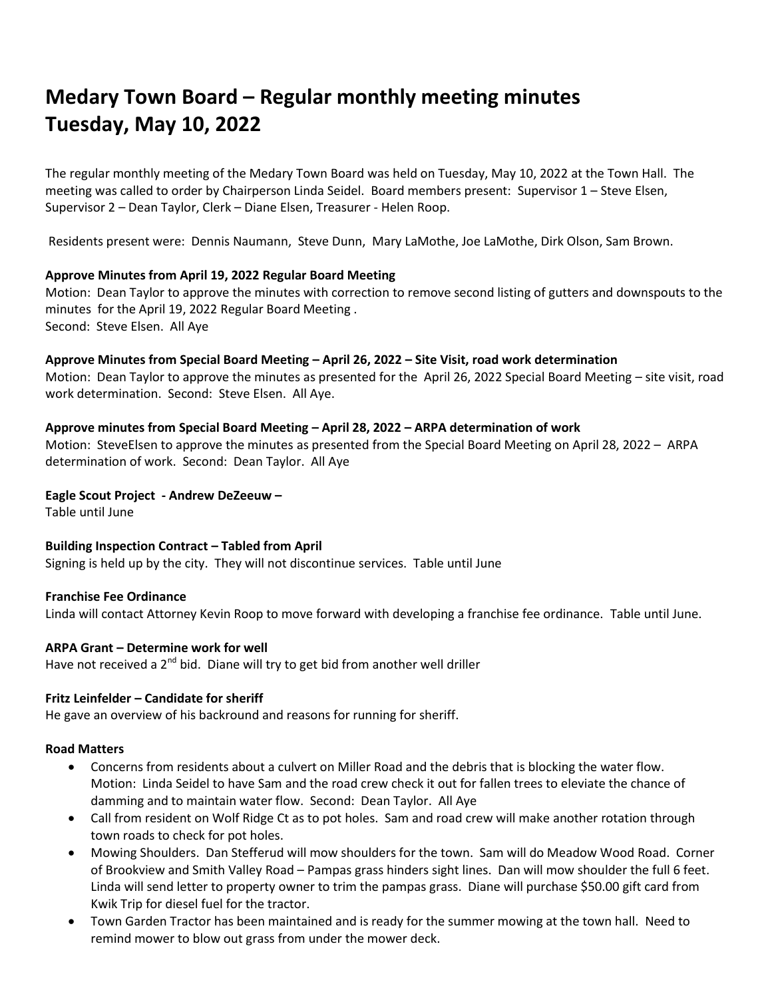# **Medary Town Board – Regular monthly meeting minutes Tuesday, May 10, 2022**

The regular monthly meeting of the Medary Town Board was held on Tuesday, May 10, 2022 at the Town Hall. The meeting was called to order by Chairperson Linda Seidel. Board members present: Supervisor 1 – Steve Elsen, Supervisor 2 – Dean Taylor, Clerk – Diane Elsen, Treasurer - Helen Roop.

Residents present were: Dennis Naumann, Steve Dunn, Mary LaMothe, Joe LaMothe, Dirk Olson, Sam Brown.

# **Approve Minutes from April 19, 2022 Regular Board Meeting**

Motion: Dean Taylor to approve the minutes with correction to remove second listing of gutters and downspouts to the minutes for the April 19, 2022 Regular Board Meeting . Second: Steve Elsen. All Aye

**Approve Minutes from Special Board Meeting – April 26, 2022 – Site Visit, road work determination**

Motion: Dean Taylor to approve the minutes as presented for the April 26, 2022 Special Board Meeting – site visit, road work determination. Second: Steve Elsen. All Aye.

# **Approve minutes from Special Board Meeting – April 28, 2022 – ARPA determination of work**

Motion: SteveElsen to approve the minutes as presented from the Special Board Meeting on April 28, 2022 – ARPA determination of work. Second: Dean Taylor. All Aye

# **Eagle Scout Project - Andrew DeZeeuw –**

Table until June

# **Building Inspection Contract – Tabled from April**

Signing is held up by the city. They will not discontinue services. Table until June

#### **Franchise Fee Ordinance**

Linda will contact Attorney Kevin Roop to move forward with developing a franchise fee ordinance. Table until June.

#### **ARPA Grant – Determine work for well**

Have not received a  $2^{nd}$  bid. Diane will try to get bid from another well driller

#### **Fritz Leinfelder – Candidate for sheriff**

He gave an overview of his backround and reasons for running for sheriff.

#### **Road Matters**

- Concerns from residents about a culvert on Miller Road and the debris that is blocking the water flow. Motion: Linda Seidel to have Sam and the road crew check it out for fallen trees to eleviate the chance of damming and to maintain water flow. Second: Dean Taylor. All Aye
- Call from resident on Wolf Ridge Ct as to pot holes. Sam and road crew will make another rotation through town roads to check for pot holes.
- Mowing Shoulders. Dan Stefferud will mow shoulders for the town. Sam will do Meadow Wood Road. Corner of Brookview and Smith Valley Road – Pampas grass hinders sight lines. Dan will mow shoulder the full 6 feet. Linda will send letter to property owner to trim the pampas grass. Diane will purchase \$50.00 gift card from Kwik Trip for diesel fuel for the tractor.
- Town Garden Tractor has been maintained and is ready for the summer mowing at the town hall. Need to remind mower to blow out grass from under the mower deck.